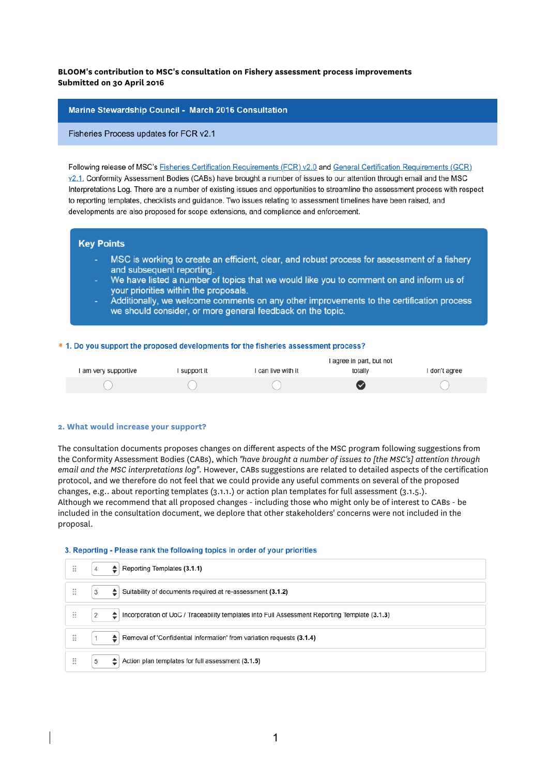# **BLOOM's contribution to MSC's consultation on Fishery assessment process improvements Submitted on 30 April 2016**

### Marine Stewardship Council - March 2016 Consultation

Fisheries Process updates for FCR v2.1

Following release of MSC's Fisheries Certification Requirements (FCR) v2.0 and General Certification Requirements (GCR) v2.1, Conformity Assessment Bodies (CABs) have brought a number of issues to our attention through email and the MSC Interpretations Log. There are a number of existing issues and opportunities to streamline the assessment process with respect to reporting templates, checklists and guidance. Two issues relating to assessment timelines have been raised, and developments are also proposed for scope extensions, and compliance and enforcement.

## **Kev Points**

- MSC is working to create an efficient, clear, and robust process for assessment of a fishery and subsequent reporting.
- We have listed a number of topics that we would like you to comment on and inform us of your priorities within the proposals.
- Additionally, we welcome comments on any other improvements to the certification process we should consider, or more general feedback on the topic.

#### \* 1. Do you support the proposed developments for the fisheries assessment process?

|                      |              | I agree in part, but not |         |               |
|----------------------|--------------|--------------------------|---------|---------------|
| I am very supportive | I support it | I can live with it       | totally | I don't agree |
|                      |              |                          | (V      |               |

#### **2. What would increase your support?**

The consultation documents proposes changes on different aspects of the MSC program following suggestions from the Conformity Assessment Bodies (CABs), which *"have brought a number of issues to [the MSC's] attention through email and the MSC interpretations log"*. However, CABs suggestions are related to detailed aspects of the certification protocol, and we therefore do not feel that we could provide any useful comments on several of the proposed changes, e.g.. about reporting templates (3.1.1.) or action plan templates for full assessment (3.1.5.). Although we recommend that all proposed changes - including those who might only be of interest to CABs - be included in the consultation document, we deplore that other stakeholders' concerns were not included in the proposal.

### 3. Reporting - Please rank the following topics in order of your priorities

| ∷ | Reporting Templates (3.1.1)<br>≘                                                                        |
|---|---------------------------------------------------------------------------------------------------------|
| ∷ | Suitability of documents required at re-assessment (3.1.2)<br>3<br>≘.                                   |
| ∷ | Incorporation of UoC / Traceability templates into Full Assessment Reporting Template (3.1.3)<br>2<br>≐ |
| ∷ | ≜.<br>Removal of 'Confidential Information' from variation requests (3.1.4)                             |
| ∷ | 5<br>Action plan templates for full assessment (3.1.5)                                                  |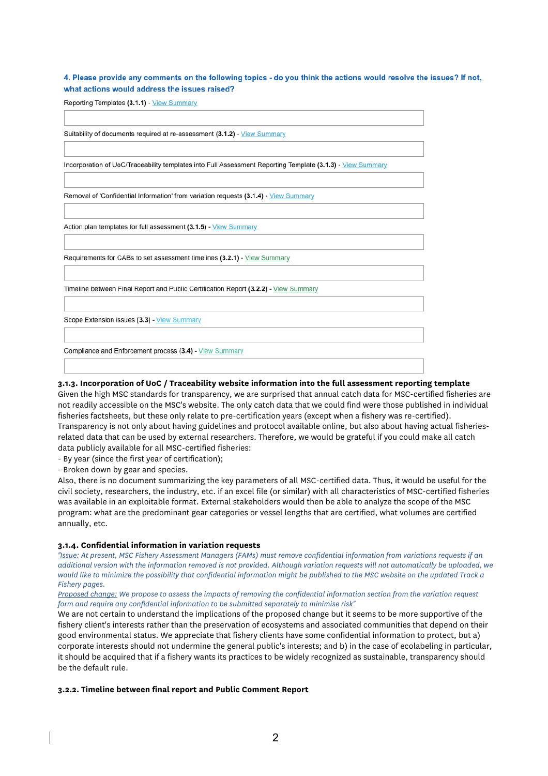4. Please provide any comments on the following topics - do you think the actions would resolve the issues? If not. what actions would address the issues raised?

Reporting Templates (3.1.1) - View Summary

Suitability of documents required at re-assessment (3.1.2) - View Summary Incorporation of UoC/Traceability templates into Full Assessment Reporting Template (3.1.3) - View Summary Removal of 'Confidential Information' from variation requests (3.1.4) - View Summary Action plan templates for full assessment (3.1.5) - View Summary Requirements for CABs to set assessment timelines (3.2.1) - View Summary Timeline between Final Report and Public Certification Report (3.2.2) - View Summary Scope Extension issues (3.3) - View Summary Compliance and Enforcement process (3.4) - View Summary

#### **3.1.3. Incorporation of UoC / Traceability website information into the full assessment reporting template**

Given the high MSC standards for transparency, we are surprised that annual catch data for MSC-certified fisheries are not readily accessible on the MSC's website. The only catch data that we could find were those published in individual fisheries factsheets, but these only relate to pre-certification years (except when a fishery was re-certified). Transparency is not only about having guidelines and protocol available online, but also about having actual fisheriesrelated data that can be used by external researchers. Therefore, we would be grateful if you could make all catch data publicly available for all MSC-certified fisheries:

- By year (since the first year of certification);

- Broken down by gear and species.

Also, there is no document summarizing the key parameters of all MSC-certified data. Thus, it would be useful for the civil society, researchers, the industry, etc. if an excel file (or similar) with all characteristics of MSC-certified fisheries was available in an exploitable format. External stakeholders would then be able to analyze the scope of the MSC program: what are the predominant gear categories or vessel lengths that are certified, what volumes are certified annually, etc.

### **3.1.4. Confidential information in variation requests**

*"Issue: At present, MSC Fishery Assessment Managers (FAMs) must remove confidential information from variations requests if an additional version with the information removed is not provided. Although variation requests will not automatically be uploaded, we would like to minimize the possibility that confidential information might be published to the MSC website on the updated Track a Fishery pages.*

*Proposed change: We propose to assess the impacts of removing the confidential information section from the variation request form and require any confidential information to be submitted separately to minimise risk"*

We are not certain to understand the implications of the proposed change but it seems to be more supportive of the fishery client's interests rather than the preservation of ecosystems and associated communities that depend on their good environmental status. We appreciate that fishery clients have some confidential information to protect, but a) corporate interests should not undermine the general public's interests; and b) in the case of ecolabeling in particular, it should be acquired that if a fishery wants its practices to be widely recognized as sustainable, transparency should be the default rule.

### **3.2.2. Timeline between final report and Public Comment Report**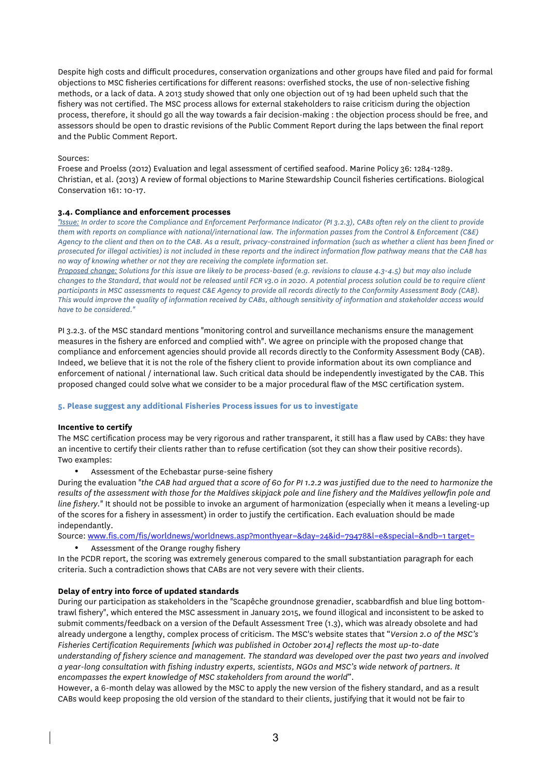Despite high costs and difficult procedures, conservation organizations and other groups have filed and paid for formal objections to MSC fisheries certifications for different reasons: overfished stocks, the use of non-selective fishing methods, or a lack of data. A 2013 study showed that only one objection out of 19 had been upheld such that the fishery was not certified. The MSC process allows for external stakeholders to raise criticism during the objection process, therefore, it should go all the way towards a fair decision-making : the objection process should be free, and assessors should be open to drastic revisions of the Public Comment Report during the laps between the final report and the Public Comment Report.

## Sources:

Froese and Proelss (2012) Evaluation and legal assessment of certified seafood. Marine Policy 36: 1284-1289. Christian, et al. (2013) A review of formal objections to Marine Stewardship Council fisheries certifications. Biological Conservation 161: 10-17.

## **3.4. Compliance and enforcement processes**

*"Issue: In order to score the Compliance and Enforcement Performance Indicator (PI 3.2.3), CABs often rely on the client to provide them with reports on compliance with national/international law. The information passes from the Control & Enforcement (C&E) Agency to the client and then on to the CAB. As a result, privacy-constrained information (such as whether a client has been fined or prosecuted for illegal activities) is not included in these reports and the indirect information flow pathway means that the CAB has no way of knowing whether or not they are receiving the complete information set.*

*Proposed change: Solutions for this issue are likely to be process-based (e.g. revisions to clause 4.3-4.5) but may also include changes to the Standard, that would not be released until FCR v3.0 in 2020. A potential process solution could be to require client participants in MSC assessments to request C&E Agency to provide all records directly to the Conformity Assessment Body (CAB). This would improve the quality of information received by CABs, although sensitivity of information and stakeholder access would have to be considered."*

PI 3.2.3. of the MSC standard mentions "monitoring control and surveillance mechanisms ensure the management measures in the fishery are enforced and complied with". We agree on principle with the proposed change that compliance and enforcement agencies should provide all records directly to the Conformity Assessment Body (CAB). Indeed, we believe that it is not the role of the fishery client to provide information about its own compliance and enforcement of national / international law. Such critical data should be independently investigated by the CAB. This proposed changed could solve what we consider to be a major procedural flaw of the MSC certification system.

### **5. Please suggest any additional Fisheries Process issues for us to investigate**

# **Incentive to certify**

The MSC certification process may be very rigorous and rather transparent, it still has a flaw used by CABs: they have an incentive to certify their clients rather than to refuse certification (sot they can show their positive records). Two examples:

Assessment of the Echebastar purse-seine fishery

During the evaluation "*the CAB had argued that a score of 60 for PI 1.2.2 was justified due to the need to harmonize the results of the assessment with those for the Maldives skipjack pole and line fishery and the Maldives yellowfin pole and line fishery.*" It should not be possible to invoke an argument of harmonization (especially when it means a leveling-up of the scores for a fishery in assessment) in order to justify the certification. Each evaluation should be made independantly.

Source: www.fis.com/fis/worldnews/worldnews.asp?monthyear=&day=24&id=79478&l=e&special=&ndb=1 target=

• Assessment of the Orange roughy fishery

In the PCDR report, the scoring was extremely generous compared to the small substantiation paragraph for each criteria. Such a contradiction shows that CABs are not very severe with their clients.

# **Delay of entry into force of updated standards**

During our participation as stakeholders in the "Scapêche groundnose grenadier, scabbardfish and blue ling bottomtrawl fishery", which entered the MSC assessment in January 2015, we found illogical and inconsistent to be asked to submit comments/feedback on a version of the Default Assessment Tree (1.3), which was already obsolete and had already undergone a lengthy, complex process of criticism. The MSC's website states that "*Version 2.0 of the MSC's Fisheries Certification Requirements [which was published in October 2014] reflects the most up-to-date understanding of fishery science and management. The standard was developed over the past two years and involved a year-long consultation with fishing industry experts, scientists, NGOs and MSC's wide network of partners. It encompasses the expert knowledge of MSC stakeholders from around the world*".

However, a 6-month delay was allowed by the MSC to apply the new version of the fishery standard, and as a result CABs would keep proposing the old version of the standard to their clients, justifying that it would not be fair to